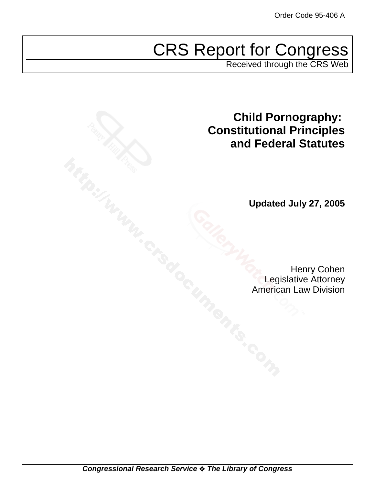# CRS Report for Congress

Received through the CRS Web

**Child Pornography: Constitutional Principles and Federal Statutes**

**Updated July 27, 2005**

Henry Cohen Legislative Attorney American Law Division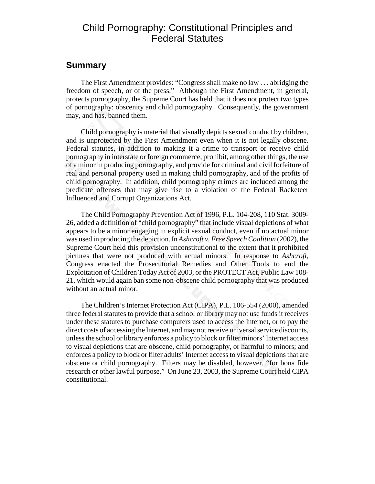# Child Pornography: Constitutional Principles and Federal Statutes

#### **Summary**

The First Amendment provides: "Congress shall make no law . . . abridging the freedom of speech, or of the press." Although the First Amendment, in general, protects pornography, the Supreme Court has held that it does not protect two types of pornography: obscenity and child pornography. Consequently, the government may, and has, banned them.

Child pornography is material that visually depicts sexual conduct by children, and is unprotected by the First Amendment even when it is not legally obscene. Federal statutes, in addition to making it a crime to transport or receive child pornography in interstate or foreign commerce, prohibit, among other things, the use of a minor in producing pornography, and provide for criminal and civil forfeiture of real and personal property used in making child pornography, and of the profits of child pornography. In addition, child pornography crimes are included among the predicate offenses that may give rise to a violation of the Federal Racketeer Influenced and Corrupt Organizations Act.

The Child Pornography Prevention Act of 1996, P.L. 104-208, 110 Stat. 3009- 26, added a definition of "child pornography" that include visual depictions of what appears to be a minor engaging in explicit sexual conduct, even if no actual minor was used in producing the depiction. In *Ashcroft v. Free Speech Coalition* (2002), the Supreme Court held this provision unconstitutional to the extent that it prohibited pictures that were not produced with actual minors. In response to *Ashcroft*, Congress enacted the Prosecutorial Remedies and Other Tools to end the Exploitation of Children Today Act of 2003, or the PROTECT Act, Public Law 108- 21, which would again ban some non-obscene child pornography that was produced without an actual minor.

The Children's Internet Protection Act (CIPA), P.L. 106-554 (2000), amended three federal statutes to provide that a school or library may not use funds it receives under these statutes to purchase computers used to access the Internet, or to pay the direct costs of accessing the Internet, and may not receive universal service discounts, unless the school or library enforces a policy to block or filter minors' Internet access to visual depictions that are obscene, child pornography, or harmful to minors; and enforces a policy to block or filter adults' Internet access to visual depictions that are obscene or child pornography. Filters may be disabled, however, "for bona fide research or other lawful purpose." On June 23, 2003, the Supreme Court held CIPA constitutional.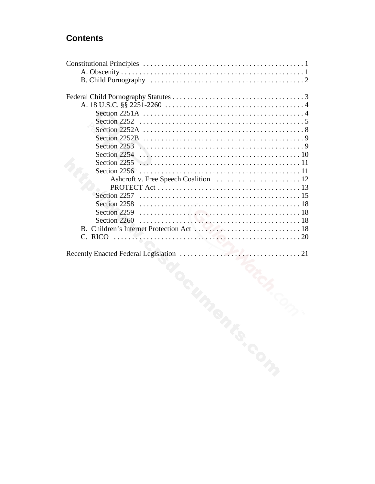# **Contents**

| Section 2251A $\ldots \ldots \ldots \ldots \ldots \ldots \ldots \ldots \ldots \ldots \ldots \ldots$<br>Section 2255 |
|---------------------------------------------------------------------------------------------------------------------|
|                                                                                                                     |
|                                                                                                                     |
| S. COM                                                                                                              |
|                                                                                                                     |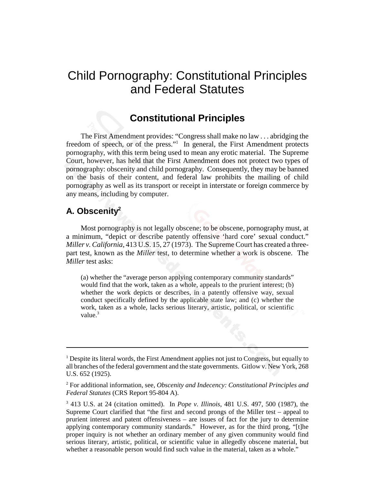# Child Pornography: Constitutional Principles and Federal Statutes

### **Constitutional Principles**

The First Amendment provides: "Congress shall make no law . . . abridging the freedom of speech, or of the press."<sup>1</sup> In general, the First Amendment protects pornography, with this term being used to mean any erotic material. The Supreme Court, however, has held that the First Amendment does not protect two types of pornography: obscenity and child pornography. Consequently, they may be banned on the basis of their content, and federal law prohibits the mailing of child pornography as well as its transport or receipt in interstate or foreign commerce by any means, including by computer.

### **A. Obscenity2**

Most pornography is not legally obscene; to be obscene, pornography must, at a minimum, "depict or describe patently offensive 'hard core' sexual conduct." *Miller v. California*, 413 U.S. 15, 27 (1973). The Supreme Court has created a threepart test, known as the *Miller* test, to determine whether a work is obscene. The *Miller* test asks:

(a) whether the "average person applying contemporary community standards" would find that the work, taken as a whole, appeals to the prurient interest; (b) whether the work depicts or describes, in a patently offensive way, sexual conduct specifically defined by the applicable state law; and (c) whether the work, taken as a whole, lacks serious literary, artistic, political, or scientific value.<sup>3</sup>

<sup>&</sup>lt;sup>1</sup> Despite its literal words, the First Amendment applies not just to Congress, but equally to all branches of the federal government and the state governments. Gitlow v. New York, 268 U.S. 652 (1925).

<sup>2</sup> For additional information, see, *Obscenity and Indecency: Constitutional Principles and Federal Statutes* (CRS Report 95-804 A).

<sup>3</sup> 413 U.S. at 24 (citation omitted). In *Pope v. Illinois*, 481 U.S. 497, 500 (1987), the Supreme Court clarified that "the first and second prongs of the Miller test – appeal to prurient interest and patent offensiveness – are issues of fact for the jury to determine applying contemporary community standards." However, as for the third prong, "[t]he proper inquiry is not whether an ordinary member of any given community would find serious literary, artistic, political, or scientific value in allegedly obscene material, but whether a reasonable person would find such value in the material, taken as a whole."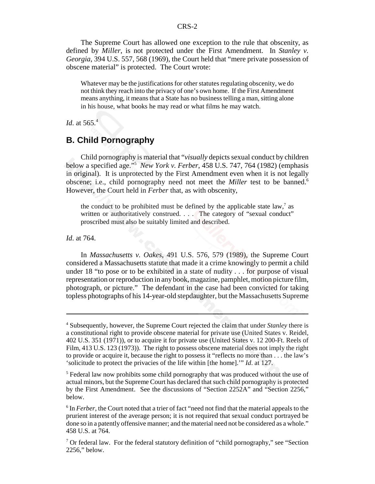The Supreme Court has allowed one exception to the rule that obscenity, as defined by *Miller*, is not protected under the First Amendment. In *Stanley v. Georgia*, 394 U.S. 557, 568 (1969), the Court held that "mere private possession of obscene material" is protected. The Court wrote:

Whatever may be the justifications for other statutes regulating obscenity, we do not think they reach into the privacy of one's own home. If the First Amendment means anything, it means that a State has no business telling a man, sitting alone in his house, what books he may read or what films he may watch.

*Id*. at 565.4

#### **B. Child Pornography**

Child pornography is material that "*visually* depicts sexual conduct by children below a specified age."5 *New York v. Ferber*, 458 U.S. 747, 764 (1982) (emphasis in original). It is unprotected by the First Amendment even when it is not legally obscene; i.e., child pornography need not meet the *Miller* test to be banned.<sup>6</sup> However, the Court held in *Ferber* that, as with obscenity,

the conduct to be prohibited must be defined by the applicable state  $law$ , as written or authoritatively construed. . . . The category of "sexual conduct" proscribed must also be suitably limited and described.

*Id*. at 764.

In *Massachusetts v. Oakes*, 491 U.S. 576, 579 (1989), the Supreme Court considered a Massachusetts statute that made it a crime knowingly to permit a child under 18 "to pose or to be exhibited in a state of nudity . . . for purpose of visual representation or reproduction in any book, magazine, pamphlet, motion picture film, photograph, or picture." The defendant in the case had been convicted for taking topless photographs of his 14-year-old stepdaughter, but the Massachusetts Supreme

<sup>4</sup> Subsequently, however, the Supreme Court rejected the claim that under *Stanley* there is a constitutional right to provide obscene material for private use (United States v. Reidel, 402 U.S. 351 (1971)), or to acquire it for private use (United States v. 12 200-Ft. Reels of Film, 413 U.S. 123 (1973)). The right to possess obscene material does not imply the right to provide or acquire it, because the right to possess it "reflects no more than . . . the law's 'solicitude to protect the privacies of the life within [the home].'" *Id*. at 127.

<sup>&</sup>lt;sup>5</sup> Federal law now prohibits some child pornography that was produced without the use of actual minors, but the Supreme Court has declared that such child pornography is protected by the First Amendment. See the discussions of "Section 2252A" and "Section 2256," below.

<sup>&</sup>lt;sup>6</sup> In *Ferber*, the Court noted that a trier of fact "need not find that the material appeals to the prurient interest of the average person; it is not required that sexual conduct portrayed be done so in a patently offensive manner; and the material need not be considered as a whole." 458 U.S. at 764.

<sup>&</sup>lt;sup>7</sup> Or federal law. For the federal statutory definition of "child pornography," see "Section 2256," below.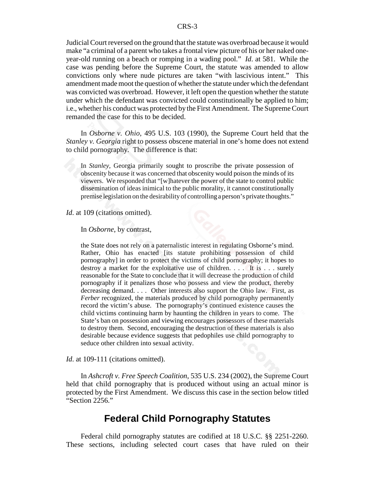Judicial Court reversed on the ground that the statute was overbroad because it would make "a criminal of a parent who takes a frontal view picture of his or her naked oneyear-old running on a beach or romping in a wading pool." *Id*. at 581. While the case was pending before the Supreme Court, the statute was amended to allow convictions only where nude pictures are taken "with lascivious intent." This amendment made moot the question of whether the statute under which the defendant was convicted was overbroad. However, it left open the question whether the statute under which the defendant was convicted could constitutionally be applied to him; i.e., whether his conduct was protected by the First Amendment. The Supreme Court remanded the case for this to be decided.

In *Osborne v. Ohio*, 495 U.S. 103 (1990), the Supreme Court held that the *Stanley v. Georgia* right to possess obscene material in one's home does not extend to child pornography. The difference is that:

In *Stanley*, Georgia primarily sought to proscribe the private possession of obscenity because it was concerned that obscenity would poison the minds of its viewers. We responded that "[w]hatever the power of the state to control public dissemination of ideas inimical to the public morality, it cannot constitutionally premise legislation on the desirability of controlling a person's private thoughts."

*Id.* at 109 (citations omitted).

In *Osborne*, by contrast,

the State does not rely on a paternalistic interest in regulating Osborne's mind. Rather, Ohio has enacted [its statute prohibiting possession of child pornography] in order to protect the victims of child pornography; it hopes to destroy a market for the exploitative use of children. . . . It is . . . surely reasonable for the State to conclude that it will decrease the production of child pornography if it penalizes those who possess and view the product, thereby decreasing demand. . . . Other interests also support the Ohio law. First, as *Ferber* recognized, the materials produced by child pornography permanently record the victim's abuse. The pornography's continued existence causes the child victims continuing harm by haunting the children in years to come. The State's ban on possession and viewing encourages possessors of these materials to destroy them. Second, encouraging the destruction of these materials is also desirable because evidence suggests that pedophiles use child pornography to seduce other children into sexual activity.

*Id.* at 109-111 (citations omitted).

In *Ashcroft v. Free Speech Coalition*, 535 U.S. 234 (2002), the Supreme Court held that child pornography that is produced without using an actual minor is protected by the First Amendment. We discuss this case in the section below titled "Section 2256."

## **Federal Child Pornography Statutes**

Federal child pornography statutes are codified at 18 U.S.C. §§ 2251-2260. These sections, including selected court cases that have ruled on their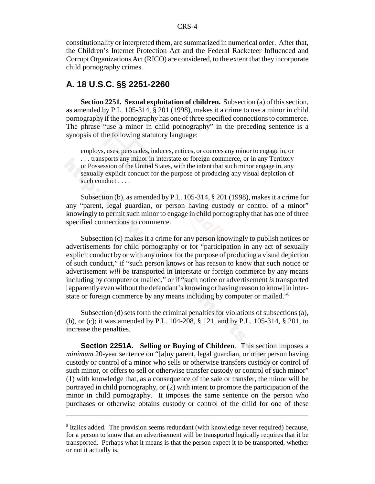constitutionality or interpreted them, are summarized in numerical order. After that, the Children's Internet Protection Act and the Federal Racketeer Influenced and Corrupt Organizations Act (RICO) are considered, to the extent that they incorporate child pornography crimes.

#### **A. 18 U.S.C. §§ 2251-2260**

**Section 2251. Sexual exploitation of children.** Subsection (a) of this section, as amended by P.L. 105-314, § 201 (1998), makes it a crime to use a minor in child pornography if the pornography has one of three specified connections to commerce. The phrase "use a minor in child pornography" in the preceding sentence is a synopsis of the following statutory language:

employs, uses, persuades, induces, entices, or coerces any minor to engage in, or . . . transports any minor in interstate or foreign commerce, or in any Territory or Possession of the United States, with the intent that such minor engage in, any sexually explicit conduct for the purpose of producing any visual depiction of such conduct . . . .

Subsection (b), as amended by P.L. 105-314, § 201 (1998), makes it a crime for any "parent, legal guardian, or person having custody or control of a minor" knowingly to permit such minor to engage in child pornography that has one of three specified connections to commerce.

Subsection (c) makes it a crime for any person knowingly to publish notices or advertisements for child pornography or for "participation in any act of sexually explicit conduct by or with any minor for the purpose of producing a visual depiction of such conduct," if "such person knows or has reason to know that such notice or advertisement *will be* transported in interstate or foreign commerce by any means including by computer or mailed," or if "such notice or advertisement *is* transported [apparently even without the defendant's knowing or having reason to know] in interstate or foreign commerce by any means including by computer or mailed."<sup>8</sup>

Subsection (d) sets forth the criminal penalties for violations of subsections (a), (b), or (c); it was amended by P.L. 104-208, § 121, and by P.L. 105-314, § 201, to increase the penalties.

**Section 2251A. Selling or Buying of Children**. This section imposes a *minimum* 20-year sentence on "[a]ny parent, legal guardian, or other person having custody or control of a minor who sells or otherwise transfers custody or control of such minor, or offers to sell or otherwise transfer custody or control of such minor" (1) with knowledge that, as a consequence of the sale or transfer, the minor will be portrayed in child pornography, or (2) with intent to promote the participation of the minor in child pornography. It imposes the same sentence on the person who purchases or otherwise obtains custody or control of the child for one of these

<sup>&</sup>lt;sup>8</sup> Italics added. The provision seems redundant (with knowledge never required) because, for a person to know that an advertisement will be transported logically requires that it be transported. Perhaps what it means is that the person expect it to be transported, whether or not it actually is.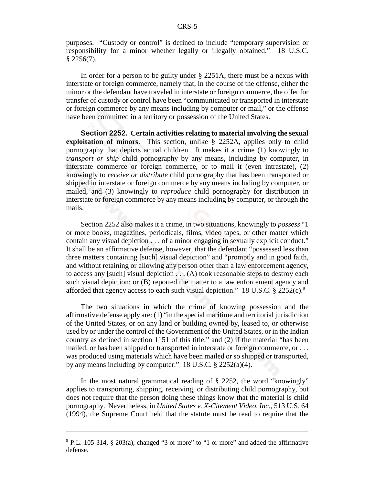purposes. "Custody or control" is defined to include "temporary supervision or responsibility for a minor whether legally or illegally obtained." 18 U.S.C.  $$2256(7).$ 

In order for a person to be guilty under § 2251A, there must be a nexus with interstate or foreign commerce, namely that, in the course of the offense, either the minor or the defendant have traveled in interstate or foreign commerce, the offer for transfer of custody or control have been "communicated or transported in interstate or foreign commerce by any means including by computer or mail," or the offense have been committed in a territory or possession of the United States.

**Section 2252. Certain activities relating to material involving the sexual exploitation of minors**. This section, unlike § 2252A, applies only to child pornography that depicts actual children. It makes it a crime (1) knowingly to *transport or ship* child pornography by any means, including by computer, in interstate commerce or foreign commerce, or to mail it (even intrastate), (2) knowingly to *receive or distribute* child pornography that has been transported or shipped in interstate or foreign commerce by any means including by computer, or mailed, and (3) knowingly to *reproduce* child pornography for distribution in interstate or foreign commerce by any means including by computer, or through the mails.

Section 2252 also makes it a crime, in two situations, knowingly to *possess* "1 or more books, magazines, periodicals, films, video tapes, or other matter which contain any visual depiction . . . of a minor engaging in sexually explicit conduct." It shall be an affirmative defense, however, that the defendant "possessed less than three matters containing [such] visual depiction" and "promptly and in good faith, and without retaining or allowing any person other than a law enforcement agency, to access any [such] visual depiction . . . (A) took reasonable steps to destroy each such visual depiction; or (B) reported the matter to a law enforcement agency and afforded that agency access to each such visual depiction." 18 U.S.C.  $\S 2252(c)$ .

The two situations in which the crime of knowing possession and the affirmative defense apply are: (1) "in the special maritime and territorial jurisdiction of the United States, or on any land or building owned by, leased to, or otherwise used by or under the control of the Government of the United States, or in the Indian country as defined in section 1151 of this title," and (2) if the material "has been mailed, or has been shipped or transported in interstate or foreign commerce, or . . . was produced using materials which have been mailed or so shipped or transported, by any means including by computer." 18 U.S.C. § 2252(a)(4).

In the most natural grammatical reading of § 2252, the word "knowingly" applies to transporting, shipping, receiving, or distributing child pornography, but does not require that the person doing these things know that the material is child pornography. Nevertheless, in *United States v. X-Citement Video, Inc.*, 513 U.S. 64 (1994), the Supreme Court held that the statute must be read to require that the

<sup>&</sup>lt;sup>9</sup> P.L. 105-314, § 203(a), changed "3 or more" to "1 or more" and added the affirmative defense.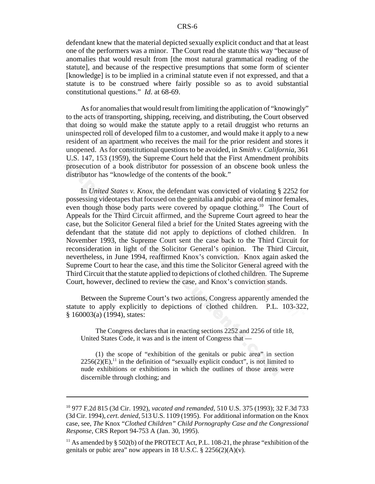defendant knew that the material depicted sexually explicit conduct and that at least one of the performers was a minor. The Court read the statute this way "because of anomalies that would result from [the most natural grammatical reading of the statute], and because of the respective presumptions that some form of scienter [knowledge] is to be implied in a criminal statute even if not expressed, and that a statute is to be construed where fairly possible so as to avoid substantial constitutional questions." *Id*. at 68-69.

As for anomalies that would result from limiting the application of "knowingly" to the acts of transporting, shipping, receiving, and distributing, the Court observed that doing so would make the statute apply to a retail druggist who returns an uninspected roll of developed film to a customer, and would make it apply to a new resident of an apartment who receives the mail for the prior resident and stores it unopened. As for constitutional questions to be avoided, in *Smith v. California*, 361 U.S. 147, 153 (1959), the Supreme Court held that the First Amendment prohibits prosecution of a book distributor for possession of an obscene book unless the distributor has "knowledge of the contents of the book."

In *United States v. Knox*, the defendant was convicted of violating § 2252 for possessing videotapes that focused on the genitalia and pubic area of minor females, even though those body parts were covered by opaque clothing.<sup>10</sup> The Court of Appeals for the Third Circuit affirmed, and the Supreme Court agreed to hear the case, but the Solicitor General filed a brief for the United States agreeing with the defendant that the statute did not apply to depictions of clothed children. In November 1993, the Supreme Court sent the case back to the Third Circuit for reconsideration in light of the Solicitor General's opinion. The Third Circuit, nevertheless, in June 1994, reaffirmed Knox's conviction. Knox again asked the Supreme Court to hear the case, and this time the Solicitor General agreed with the Third Circuit that the statute applied to depictions of clothed children. The Supreme Court, however, declined to review the case, and Knox's conviction stands.

Between the Supreme Court's two actions, Congress apparently amended the statute to apply explicitly to depictions of clothed children. P.L. 103-322, § 160003(a) (1994), states:

The Congress declares that in enacting sections 2252 and 2256 of title 18, United States Code, it was and is the intent of Congress that —

(1) the scope of "exhibition of the genitals or pubic area" in section  $2256(2)(E)$ ,<sup>11</sup> in the definition of "sexually explicit conduct", is not limited to nude exhibitions or exhibitions in which the outlines of those areas were discernible through clothing; and

<sup>10 977</sup> F.2d 815 (3d Cir. 1992), *vacated and remanded*, 510 U.S. 375 (1993); 32 F.3d 733 (3d Cir. 1994), *cert. denied*, 513 U.S. 1109 (1995). For additional information on the Knox case, see, *The* Knox "*Clothed Children" Child Pornography Case and the Congressional Response*, CRS Report 94-753 A (Jan. 30, 1995).

<sup>&</sup>lt;sup>11</sup> As amended by § 502(b) of the PROTECT Act, P.L. 108-21, the phrase "exhibition of the genitals or pubic area" now appears in 18 U.S.C.  $\S 2256(2)(A)(v)$ .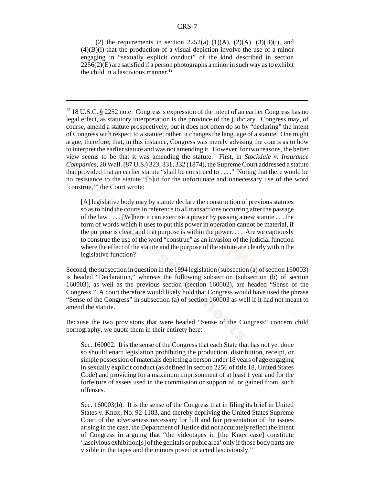(2) the requirements in section  $2252(a)$  (1)(A), (2)(A), (3)(B)(i), and  $(4)(B)(i)$  that the production of a visual depiction involve the use of a minor engaging in "sexually explicit conduct" of the kind described in section 2256(2)(E) are satisfied if a person photographs a minor in such way as to exhibit the child in a lascivious manner. $12$ 

[A] legislative body may by statute declare the construction of previous statutes so as to bind the courts in reference to all transactions occurring after the passage of the law . . . . [W]here it can exercise a power by passing a new statute . . . the form of words which it uses to put this power in operation cannot be material, if the purpose is clear, and that purpose is within the power. . . . Are we captiously to construe the use of the word "construe" as an invasion of the judicial function where the effect of the statute and the purpose of the statute are clearly within the legislative function?

Second, the subsection in question in the 1994 legislation (subsection (a) of section 160003) is headed "Declaration," whereas the following subsection (subsection (b) of section 160003), as well as the previous section (section 160002), are headed "Sense of the Congress." A court therefore would likely hold that Congress would have used the phrase "Sense of the Congress" in subsection (a) of section 160003 as well if it had not meant to amend the statute.

Because the two provisions that were headed "Sense of the Congress" concern child pornography, we quote them in their entirety here:

Sec. 160002. It is the sense of the Congress that each State that has not yet done so should enact legislation prohibiting the production, distribution, receipt, or simple possession of materials depicting a person under 18 years of age engaging in sexually explicit conduct (as defined in section 2256 of title 18, United States Code) and providing for a maximum imprisonment of at least 1 year and for the forfeiture of assets used in the commission or support of, or gained from, such offenses.

Sec. 160003(b). It is the sense of the Congress that in filing its brief in United States v. Knox, No. 92-1183, and thereby depriving the United States Supreme Court of the adverseness necessary for full and fair presentation of the issues arising in the case, the Department of Justice did not accurately reflect the intent of Congress in arguing that "the videotapes in [the Knox case] constitute 'lascivious exhibition[s] of the genitals or pubic area' only if those body parts are visible in the tapes and the minors posed or acted lasciviously."

<sup>&</sup>lt;sup>12</sup> 18 U.S.C. § 2252 note. Congress's expression of the intent of an earlier Congress has no legal effect, as statutory interpretation is the province of the judiciary. Congress may, of course, amend a statute prospectively, but it does not often do so by "declaring" the intent of Congress with respect to a statute; rather, it changes the language of a statute. One might argue, therefore, that, in this instance, Congress was merely advising the courts as to how to interpret the earlier statute and was not amending it. However, for two reasons, the better view seems to be that it was amending the statute. First, in *Stockdale v. Insurance Companies*, 20 Wall. (87 U.S.) 323, 331, 332 (1874), the Supreme Court addressed a statute that provided that an earlier statute "shall be construed to . . . ." Noting that there would be no resistance to the statute "[b]ut for the unfortunate and unnecessary use of the word 'construe,'" the Court wrote: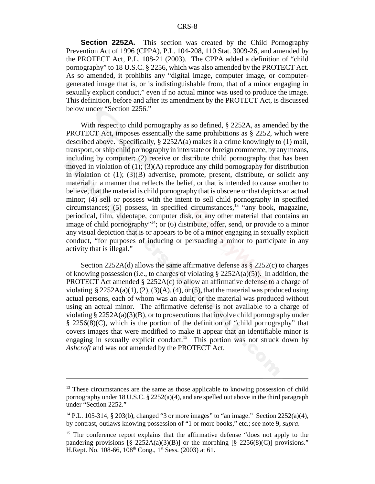**Section 2252A.** This section was created by the Child Pornography Prevention Act of 1996 (CPPA), P.L. 104-208, 110 Stat. 3009-26, and amended by the PROTECT Act, P.L. 108-21 (2003). The CPPA added a definition of "child pornography" to 18 U.S.C. § 2256, which was also amended by the PROTECT Act. As so amended, it prohibits any "digital image, computer image, or computergenerated image that is, or is indistinguishable from, that of a minor engaging in sexually explicit conduct," even if no actual minor was used to produce the image. This definition, before and after its amendment by the PROTECT Act, is discussed below under "Section 2256."

With respect to child pornography as so defined, § 2252A, as amended by the **PROTECT** Act, imposes essentially the same prohibitions as  $\S$  2252, which were described above. Specifically, § 2252A(a) makes it a crime knowingly to (1) mail, transport, or ship child pornography in interstate or foreign commerce, by any means, including by computer; (2) receive or distribute child pornography that has been moved in violation of  $(1)$ ;  $(3)(A)$  reproduce any child pornography for distribution in violation of (1); (3)(B) advertise, promote, present, distribute, or solicit any material in a manner that reflects the belief, or that is intended to cause another to believe, that the material is child pornography that is obscene or that depicts an actual minor; (4) sell or possess with the intent to sell child pornography in specified circumstances; (5) possess, in specified circumstances,  $^{13}$  "any book, magazine, periodical, film, videotape, computer disk, or any other material that contains an image of child pornography<sup> $n+14$ </sup>; or (6) distribute, offer, send, or provide to a minor any visual depiction that is or appears to be of a minor engaging in sexually explicit conduct, "for purposes of inducing or persuading a minor to participate in any activity that is illegal."

Section 2252A(d) allows the same affirmative defense as § 2252(c) to charges of knowing possession (i.e., to charges of violating  $\S 2252A(a)(5)$ ). In addition, the **PROTECT** Act amended  $\S$  2252A(c) to allow an affirmative defense to a charge of violating  $\S 2252A(a)(1), (2), (3)(A), (4),$  or (5), that the material was produced using actual persons, each of whom was an adult; or the material was produced without using an actual minor. The affirmative defense is not available to a charge of violating §  $2252A(a)(3)(B)$ , or to prosecutions that involve child pornography under § 2256(8)(C), which is the portion of the definition of "child pornography" that covers images that were modified to make it appear that an identifiable minor is engaging in sexually explicit conduct.<sup>15</sup> This portion was not struck down by *Ashcroft* and was not amended by the PROTECT Act.

<sup>&</sup>lt;sup>13</sup> These circumstances are the same as those applicable to knowing possession of child pornography under 18 U.S.C.  $\S 2252(a)(4)$ , and are spelled out above in the third paragraph under "Section 2252."

<sup>&</sup>lt;sup>14</sup> P.L. 105-314, § 203(b), changed "3 or more images" to "an image." Section 2252(a)(4), by contrast, outlaws knowing possession of "1 or more books," etc.; see note 9, *supra*.

<sup>&</sup>lt;sup>15</sup> The conference report explains that the affirmative defense "does not apply to the pandering provisions  $\lbrack \S 2252A(a)(3)(B)\rbrack$  or the morphing  $\lbrack \S 2256(8)(C)\rbrack$  provisions." H.Rept. No. 108-66,  $108<sup>th</sup>$  Cong.,  $1<sup>st</sup>$  Sess. (2003) at 61.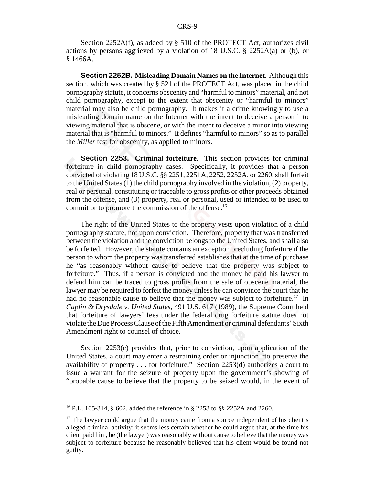Section 2252A(f), as added by § 510 of the PROTECT Act, authorizes civil actions by persons aggrieved by a violation of 18 U.S.C. § 2252A(a) or (b), or § 1466A.

**Section 2252B. Misleading Domain Names on the Internet**. Although this section, which was created by § 521 of the PROTECT Act, was placed in the child pornography statute, it concerns obscenity and "harmful to minors" material, and not child pornography, except to the extent that obscenity or "harmful to minors" material may also be child pornography. It makes it a crime knowingly to use a misleading domain name on the Internet with the intent to deceive a person into viewing material that is obscene, or with the intent to deceive a minor into viewing material that is "harmful to minors." It defines "harmful to minors" so as to parallel the *Miller* test for obscenity, as applied to minors.

**Section 2253. Criminal forfeiture**. This section provides for criminal forfeiture in child pornography cases. Specifically, it provides that a person convicted of violating 18 U.S.C. §§ 2251, 2251A, 2252, 2252A, or 2260, shall forfeit to the United States (1) the child pornography involved in the violation, (2) property, real or personal, constituting or traceable to gross profits or other proceeds obtained from the offense, and (3) property, real or personal, used or intended to be used to commit or to promote the commission of the offense.<sup>16</sup>

The right of the United States to the property vests upon violation of a child pornography statute, not upon conviction. Therefore, property that was transferred between the violation and the conviction belongs to the United States, and shall also be forfeited. However, the statute contains an exception precluding forfeiture if the person to whom the property was transferred establishes that at the time of purchase he "as reasonably without cause to believe that the property was subject to forfeiture." Thus, if a person is convicted and the money he paid his lawyer to defend him can be traced to gross profits from the sale of obscene material, the lawyer may be required to forfeit the money unless he can convince the court that he had no reasonable cause to believe that the money was subject to forfeiture.<sup>17</sup> In *Caplin & Drysdale v. United States*, 491 U.S. 617 (1989), the Supreme Court held that forfeiture of lawyers' fees under the federal drug forfeiture statute does not violate the Due Process Clause of the Fifth Amendment or criminal defendants' Sixth Amendment right to counsel of choice.

Section 2253(c) provides that, prior to conviction, upon application of the United States, a court may enter a restraining order or injunction "to preserve the availability of property . . . for forfeiture." Section 2253(d) authorizes a court to issue a warrant for the seizure of property upon the government's showing of "probable cause to believe that the property to be seized would, in the event of

<sup>16</sup> P.L. 105-314, § 602, added the reference in § 2253 to §§ 2252A and 2260.

 $17$  The lawyer could argue that the money came from a source independent of his client's alleged criminal activity; it seems less certain whether he could argue that, at the time his client paid him, he (the lawyer) was reasonably without cause to believe that the money was subject to forfeiture because he reasonably believed that his client would be found not guilty.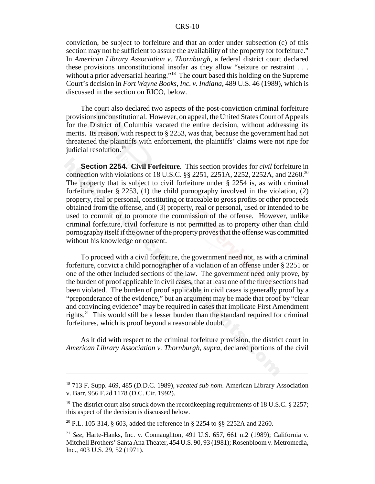#### CRS-10

conviction, be subject to forfeiture and that an order under subsection (c) of this section may not be sufficient to assure the availability of the property for forfeiture." In *American Library Association v. Thornburgh*, a federal district court declared these provisions unconstitutional insofar as they allow "seizure or restraint . . . without a prior adversarial hearing."<sup>18</sup> The court based this holding on the Supreme Court's decision in *Fort Wayne Books, Inc. v. Indiana*, 489 U.S. 46 (1989), which is discussed in the section on RICO, below.

The court also declared two aspects of the post-conviction criminal forfeiture provisions unconstitutional. However, on appeal, the United States Court of Appeals for the District of Columbia vacated the entire decision, without addressing its merits. Its reason, with respect to  $\S 2253$ , was that, because the government had not threatened the plaintiffs with enforcement, the plaintiffs' claims were not ripe for judicial resolution.<sup>19</sup>

**Section 2254. Civil Forfeiture**. This section provides for *civil* forfeiture in connection with violations of 18 U.S.C. §§ 2251, 2251A, 2252, 2252A, and 2260.20 The property that is subject to civil forfeiture under  $\S$  2254 is, as with criminal forfeiture under § 2253, (1) the child pornography involved in the violation, (2) property, real or personal, constituting or traceable to gross profits or other proceeds obtained from the offense, and (3) property, real or personal, used or intended to be used to commit or to promote the commission of the offense. However, unlike criminal forfeiture, civil forfeiture is not permitted as to property other than child pornography itself if the owner of the property proves that the offense was committed without his knowledge or consent.

To proceed with a civil forfeiture, the government need not, as with a criminal forfeiture, convict a child pornographer of a violation of an offense under § 2251 or one of the other included sections of the law. The government need only prove, by the burden of proof applicable in civil cases, that at least one of the three sections had been violated. The burden of proof applicable in civil cases is generally proof by a "preponderance of the evidence," but an argument may be made that proof by "clear and convincing evidence" may be required in cases that implicate First Amendment rights.21 This would still be a lesser burden than the standard required for criminal forfeitures, which is proof beyond a reasonable doubt.

As it did with respect to the criminal forfeiture provision, the district court in *American Library Association v. Thornburgh*, *supra*, declared portions of the civil

<sup>18 713</sup> F. Supp. 469, 485 (D.D.C. 1989), *vacated sub nom*. American Library Association v. Barr, 956 F.2d 1178 (D.C. Cir. 1992).

<sup>&</sup>lt;sup>19</sup> The district court also struck down the recordkeeping requirements of 18 U.S.C. § 2257; this aspect of the decision is discussed below.

<sup>&</sup>lt;sup>20</sup> P.L. 105-314, § 603, added the reference in § 2254 to §§ 2252A and 2260.

<sup>21</sup> *See*, Harte-Hanks, Inc. v. Connaughton, 491 U.S. 657, 661 n.2 (1989); California v. Mitchell Brothers' Santa Ana Theater, 454 U.S. 90, 93 (1981); Rosenbloom v. Metromedia, Inc., 403 U.S. 29, 52 (1971).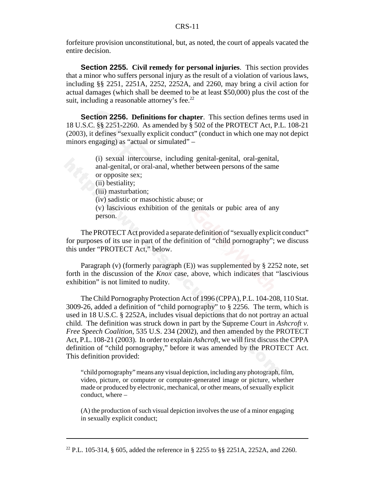forfeiture provision unconstitutional, but, as noted, the court of appeals vacated the entire decision.

**Section 2255. Civil remedy for personal injuries**. This section provides that a minor who suffers personal injury as the result of a violation of various laws, including §§ 2251, 2251A, 2252, 2252A, and 2260, may bring a civil action for actual damages (which shall be deemed to be at least \$50,000) plus the cost of the suit, including a reasonable attorney's fee. $22$ 

**Section 2256. Definitions for chapter**. This section defines terms used in 18 U.S.C. §§ 2251-2260. As amended by § 502 of the PROTECT Act, P.L. 108-21 (2003), it defines "sexually explicit conduct" (conduct in which one may not depict minors engaging) as "actual or simulated" –

> (i) sexual intercourse, including genital-genital, oral-genital, anal-genital, or oral-anal, whether between persons of the same or opposite sex;

(ii) bestiality;

(iii) masturbation;

(iv) sadistic or masochistic abuse; or

(v) lascivious exhibition of the genitals or pubic area of any person.

The PROTECT Act provided a separate definition of "sexually explicit conduct" for purposes of its use in part of the definition of "child pornography"; we discuss this under "PROTECT Act," below.

Paragraph (v) (formerly paragraph (E)) was supplemented by § 2252 note, set forth in the discussion of the *Knox* case, above, which indicates that "lascivious exhibition" is not limited to nudity.

The Child Pornography Protection Act of 1996 (CPPA), P.L. 104-208, 110 Stat. 3009-26, added a definition of "child pornography" to § 2256. The term, which is used in 18 U.S.C. § 2252A, includes visual depictions that do not portray an actual child. The definition was struck down in part by the Supreme Court in *Ashcroft v. Free Speech Coalition*, 535 U.S. 234 (2002), and then amended by the PROTECT Act, P.L. 108-21 (2003). In order to explain *Ashcroft*, we will first discuss the CPPA definition of "child pornography," before it was amended by the PROTECT Act. This definition provided:

"child pornography" means any visual depiction, including any photograph, film, video, picture, or computer or computer-generated image or picture, whether made or produced by electronic, mechanical, or other means, of sexually explicit conduct, where  $-$ 

(A) the production of such visual depiction involves the use of a minor engaging in sexually explicit conduct;

<sup>&</sup>lt;sup>22</sup> P.L. 105-314, § 605, added the reference in § 2255 to §§ 2251A, 2252A, and 2260.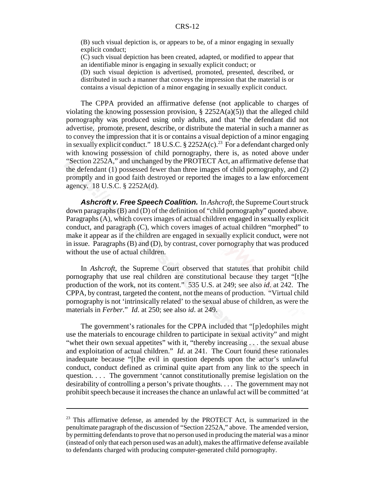(B) such visual depiction is, or appears to be, of a minor engaging in sexually explicit conduct;

(C) such visual depiction has been created, adapted, or modified to appear that an identifiable minor is engaging in sexually explicit conduct; or

(D) such visual depiction is advertised, promoted, presented, described, or distributed in such a manner that conveys the impression that the material is or contains a visual depiction of a minor engaging in sexually explicit conduct.

The CPPA provided an affirmative defense (not applicable to charges of violating the knowing possession provision,  $\S$  2252A(a)(5)) that the alleged child pornography was produced using only adults, and that "the defendant did not advertise, promote, present, describe, or distribute the material in such a manner as to convey the impression that it is or contains a visual depiction of a minor engaging in sexually explicit conduct." 18 U.S.C.  $\S$  2252A(c).<sup>23</sup> For a defendant charged only with knowing possession of child pornography, there is, as noted above under "Section 2252A," and unchanged by the PROTECT Act, an affirmative defense that the defendant (1) possessed fewer than three images of child pornography, and (2) promptly and in good faith destroyed or reported the images to a law enforcement agency. 18 U.S.C. § 2252A(d).

*Ashcroft v. Free Speech Coalition.* In *Ashcroft*, the Supreme Court struck down paragraphs (B) and (D) of the definition of "child pornography" quoted above. Paragraphs (A), which covers images of actual children engaged in sexually explicit conduct, and paragraph (C), which covers images of actual children "morphed" to make it appear as if the children are engaged in sexually explicit conduct, were not in issue. Paragraphs (B) and (D), by contrast, cover pornography that was produced without the use of actual children.

In *Ashcroft*, the Supreme Court observed that statutes that prohibit child pornography that use real children are constitutional because they target "[t]he production of the work, not its content." 535 U.S. at 249; see also *id*. at 242. The CPPA, by contrast, targeted the content, not the means of production. "Virtual child pornography is not 'intrinsically related' to the sexual abuse of children, as were the materials in *Ferber.*" *Id*. at 250; see also *id*. at 249.

The government's rationales for the CPPA included that "[p]edophiles might use the materials to encourage children to participate in sexual activity" and might "whet their own sexual appetites" with it, "thereby increasing . . . the sexual abuse and exploitation of actual children." *Id*. at 241. The Court found these rationales inadequate because "[t]he evil in question depends upon the actor's unlawful conduct, conduct defined as criminal quite apart from any link to the speech in question. . . . The government 'cannot constitutionally premise legislation on the desirability of controlling a person's private thoughts. . . . The government may not prohibit speech because it increases the chance an unlawful act will be committed 'at

 $23$  This affirmative defense, as amended by the PROTECT Act, is summarized in the penultimate paragraph of the discussion of "Section 2252A," above. The amended version, by permitting defendants to prove that no person used in producing the material was a minor (instead of only that each person used was an adult), makes the affirmative defense available to defendants charged with producing computer-generated child pornography.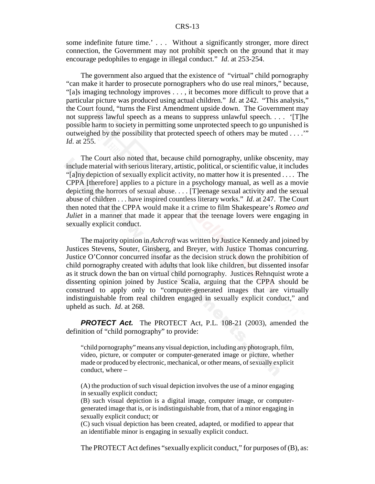some indefinite future time.' . . . Without a significantly stronger, more direct connection, the Government may not prohibit speech on the ground that it may encourage pedophiles to engage in illegal conduct." *Id*. at 253-254.

The government also argued that the existence of "virtual" child pornography "can make it harder to prosecute pornographers who do use real minors," because, "[a]s imaging technology improves . . . , it becomes more difficult to prove that a particular picture was produced using actual children." *Id*. at 242. "This analysis," the Court found, "turns the First Amendment upside down. The Government may not suppress lawful speech as a means to suppress unlawful speech. . . . '[T]he possible harm to society in permitting some unprotected speech to go unpunished is outweighed by the possibility that protected speech of others may be muted . . . .'" *Id*. at 255.

The Court also noted that, because child pornography, unlike obscenity, may include material with serious literary, artistic, political, or scientific value, it includes "[a]ny depiction of sexually explicit activity, no matter how it is presented . . . . The CPPA [therefore] applies to a picture in a psychology manual, as well as a movie depicting the horrors of sexual abuse. . . . [T]eenage sexual activity and the sexual abuse of children . . . have inspired countless literary works." *Id*. at 247. The Court then noted that the CPPA would make it a crime to film Shakespeare's *Romeo and Juliet* in a manner that made it appear that the teenage lovers were engaging in sexually explicit conduct.

The majority opinion in *Ashcroft* was written by Justice Kennedy and joined by Justices Stevens, Souter, Ginsberg, and Breyer, with Justice Thomas concurring. Justice O'Connor concurred insofar as the decision struck down the prohibition of child pornography created with adults that look like children, but dissented insofar as it struck down the ban on virtual child pornography. Justices Rehnquist wrote a dissenting opinion joined by Justice Scalia, arguing that the CPPA should be construed to apply only to "computer-generated images that are virtually indistinguishable from real children engaged in sexually explicit conduct," and upheld as such. *Id*. at 268.

**PROTECT Act.** The PROTECT Act, P.L. 108-21 (2003), amended the definition of "child pornography" to provide:

"child pornography" means any visual depiction, including any photograph, film, video, picture, or computer or computer-generated image or picture, whether made or produced by electronic, mechanical, or other means, of sexually explicit conduct, where –

(A) the production of such visual depiction involves the use of a minor engaging in sexually explicit conduct;

(B) such visual depiction is a digital image, computer image, or computergenerated image that is, or is indistinguishable from, that of a minor engaging in sexually explicit conduct; or

(C) such visual depiction has been created, adapted, or modified to appear that an identifiable minor is engaging in sexually explicit conduct.

The PROTECT Act defines "sexually explicit conduct," for purposes of (B), as: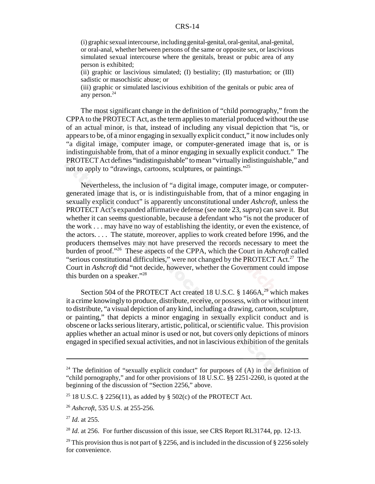#### CRS-14

(i) graphic sexual intercourse, including genital-genital, oral-genital, anal-genital, or oral-anal, whether between persons of the same or opposite sex, or lascivious simulated sexual intercourse where the genitals, breast or pubic area of any person is exhibited;

(ii) graphic or lascivious simulated; (I) bestiality; (II) masturbation; or  $(III)$ sadistic or masochistic abuse; or

(iii) graphic or simulated lascivious exhibition of the genitals or pubic area of any person.24

The most significant change in the definition of "child pornography," from the CPPA to the PROTECT Act, as the term applies to material produced without the use of an actual minor, is that, instead of including any visual depiction that "is, or appears to be, of a minor engaging in sexually explicit conduct," it now includes only "a digital image, computer image, or computer-generated image that is, or is indistinguishable from, that of a minor engaging in sexually explicit conduct." The PROTECT Act defines "indistinguishable" to mean "virtually indistinguishable," and not to apply to "drawings, cartoons, sculptures, or paintings."25

Nevertheless, the inclusion of "a digital image, computer image, or computergenerated image that is, or is indistinguishable from, that of a minor engaging in sexually explicit conduct" is apparently unconstitutional under *Ashcroft*, unless the PROTECT Act's expanded affirmative defense (see note 23, *supra*) can save it. But whether it can seems questionable, because a defendant who "is not the producer of the work . . . may have no way of establishing the identity, or even the existence, of the actors. . . . The statute, moreover, applies to work created before 1996, and the producers themselves may not have preserved the records necessary to meet the burden of proof."26 These aspects of the CPPA, which the Court in *Ashcroft* called "serious constitutional difficulties," were not changed by the PROTECT Act.<sup>27</sup> The Court in *Ashcroft* did "not decide, however, whether the Government could impose this burden on a speaker."28

Section 504 of the PROTECT Act created 18 U.S.C.  $\S$  1466A,<sup>29</sup> which makes it a crime knowingly to produce, distribute, receive, or possess, with or without intent to distribute, "a visual depiction of any kind, including a drawing, cartoon, sculpture, or painting," that depicts a minor engaging in sexually explicit conduct and is obscene or lacks serious literary, artistic, political, or scientific value. This provision applies whether an actual minor is used or not, but covers only depictions of minors engaged in specified sexual activities, and not in lascivious exhibition of the genitals

 $24$  The definition of "sexually explicit conduct" for purposes of (A) in the definition of "child pornography," and for other provisions of 18 U.S.C. §§ 2251-2260, is quoted at the beginning of the discussion of "Section 2256," above.

<sup>&</sup>lt;sup>25</sup> 18 U.S.C. § 2256(11), as added by § 502(c) of the PROTECT Act.

<sup>26</sup> *Ashcroft*, 535 U.S. at 255-256.

<sup>27</sup> *Id*. at 255.

<sup>&</sup>lt;sup>28</sup> *Id.* at 256. For further discussion of this issue, see CRS Report RL31744, pp. 12-13.

<sup>&</sup>lt;sup>29</sup> This provision thus is not part of § 2256, and is included in the discussion of § 2256 solely for convenience.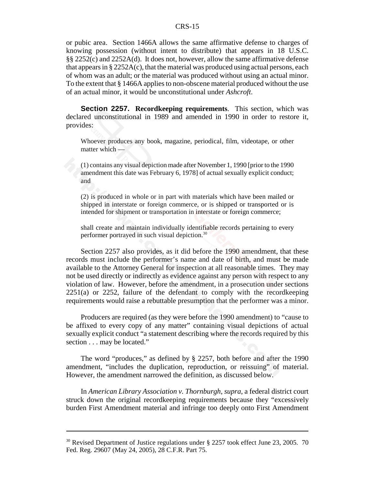or pubic area. Section 1466A allows the same affirmative defense to charges of knowing possession (without intent to distribute) that appears in 18 U.S.C. §§ 2252(c) and 2252A(d). It does not, however, allow the same affirmative defense that appears in § 2252A(c), that the material was produced using actual persons, each of whom was an adult; or the material was produced without using an actual minor. To the extent that § 1466A applies to non-obscene material produced without the use of an actual minor, it would be unconstitutional under *Ashcroft*.

**Section 2257. Recordkeeping requirements**. This section, which was declared unconstitutional in 1989 and amended in 1990 in order to restore it, provides:

Whoever produces any book, magazine, periodical, film, videotape, or other matter which —

(1) contains any visual depiction made after November 1, 1990 [prior to the 1990 amendment this date was February 6, 1978] of actual sexually explicit conduct; and

(2) is produced in whole or in part with materials which have been mailed or shipped in interstate or foreign commerce, or is shipped or transported or is intended for shipment or transportation in interstate or foreign commerce;

shall create and maintain individually identifiable records pertaining to every performer portrayed in such visual depiction.30

Section 2257 also provides, as it did before the 1990 amendment, that these records must include the performer's name and date of birth, and must be made available to the Attorney General for inspection at all reasonable times. They may not be used directly or indirectly as evidence against any person with respect to any violation of law. However, before the amendment, in a prosecution under sections 2251(a) or 2252, failure of the defendant to comply with the recordkeeping requirements would raise a rebuttable presumption that the performer was a minor.

Producers are required (as they were before the 1990 amendment) to "cause to be affixed to every copy of any matter" containing visual depictions of actual sexually explicit conduct "a statement describing where the records required by this section . . . may be located."

The word "produces," as defined by § 2257, both before and after the 1990 amendment, "includes the duplication, reproduction, or reissuing" of material. However, the amendment narrowed the definition, as discussed below.

In *American Library Association v. Thornburgh*, *supra*, a federal district court struck down the original recordkeeping requirements because they "excessively burden First Amendment material and infringe too deeply onto First Amendment

<sup>&</sup>lt;sup>30</sup> Revised Department of Justice regulations under § 2257 took effect June 23, 2005. 70 Fed. Reg. 29607 (May 24, 2005), 28 C.F.R. Part 75.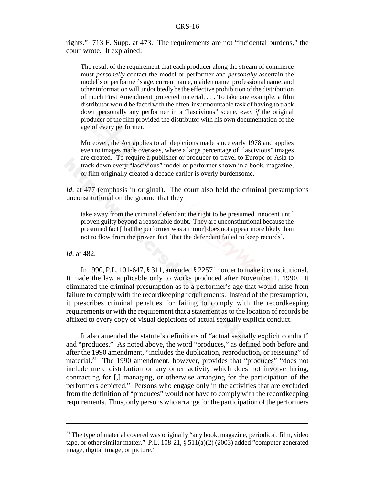rights." 713 F. Supp. at 473. The requirements are not "incidental burdens," the court wrote. It explained:

The result of the requirement that each producer along the stream of commerce must *personally* contact the model or performer and *personally* ascertain the model's or performer's age, current name, maiden name, professional name, and other information will undoubtedly be the effective prohibition of the distribution of much First Amendment protected material. . . . To take one example, a film distributor would be faced with the often-insurmountable task of having to track down personally any performer in a "lascivious" scene, *even if* the original producer of the film provided the distributor with his own documentation of the age of every performer.

Moreover, the Act applies to all depictions made since early 1978 and applies even to images made overseas, where a large percentage of "lascivious" images are created. To require a publisher or producer to travel to Europe or Asia to track down every "lascivious" model or performer shown in a book, magazine, or film originally created a decade earlier is overly burdensome.

*Id.* at 477 (emphasis in original). The court also held the criminal presumptions unconstitutional on the ground that they

take away from the criminal defendant the right to be presumed innocent until proven guilty beyond a reasonable doubt. They are unconstitutional because the presumed fact [that the performer was a minor] does not appear more likely than not to flow from the proven fact [that the defendant failed to keep records].

*Id*. at 482.

In 1990, P.L. 101-647, § 311, amended § 2257 in order to make it constitutional. It made the law applicable only to works produced after November 1, 1990. It eliminated the criminal presumption as to a performer's age that would arise from failure to comply with the recordkeeping requirements. Instead of the presumption, it prescribes criminal penalties for failing to comply with the recordkeeping requirements or with the requirement that a statement as to the location of records be affixed to every copy of visual depictions of actual sexually explicit conduct.

It also amended the statute's definitions of "actual sexually explicit conduct" and "produces." As noted above, the word "produces," as defined both before and after the 1990 amendment, "includes the duplication, reproduction, or reissuing" of material.<sup>31</sup> The 1990 amendment, however, provides that "produces" "does not include mere distribution or any other activity which does not involve hiring, contracting for [,] managing, or otherwise arranging for the participation of the performers depicted." Persons who engage only in the activities that are excluded from the definition of "produces" would not have to comply with the recordkeeping requirements. Thus, only persons who arrange for the participation of the performers

 $31$  The type of material covered was originally "any book, magazine, periodical, film, video tape, or other similar matter." P.L. 108-21, § 511(a)(2) (2003) added "computer generated image, digital image, or picture."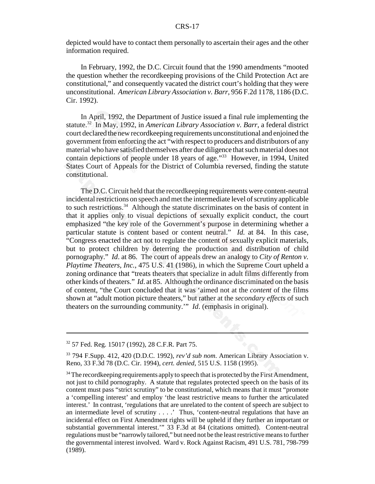#### CRS-17

depicted would have to contact them personally to ascertain their ages and the other information required.

In February, 1992, the D.C. Circuit found that the 1990 amendments "mooted the question whether the recordkeeping provisions of the Child Protection Act are constitutional," and consequently vacated the district court's holding that they were unconstitutional. *American Library Association v. Barr*, 956 F.2d 1178, 1186 (D.C. Cir. 1992).

In April, 1992, the Department of Justice issued a final rule implementing the statute.32 In May, 1992, in *American Library Association v. Barr*, a federal district court declared the new recordkeeping requirements unconstitutional and enjoined the government from enforcing the act "with respect to producers and distributors of any material who have satisfied themselves after due diligence that such material does not contain depictions of people under 18 years of age."<sup>33</sup> However, in 1994, United States Court of Appeals for the District of Columbia reversed, finding the statute constitutional.

The D.C. Circuit held that the recordkeeping requirements were content-neutral incidental restrictions on speech and met the intermediate level of scrutiny applicable to such restrictions.34 Although the statute discriminates on the basis of content in that it applies only to visual depictions of sexually explicit conduct, the court emphasized "the key role of the Government's purpose in determining whether a particular statute is content based or content neutral." *Id.* at 84. In this case, "Congress enacted the act not to regulate the content of sexually explicit materials, but to protect children by deterring the production and distribution of child pornography." *Id*. at 86. The court of appeals drew an analogy to *City of Renton v. Playtime Theaters, Inc.*, 475 U.S. 41 (1986), in which the Supreme Court upheld a zoning ordinance that "treats theaters that specialize in adult films differently from other kinds of theaters." *Id*. at 85. Although the ordinance discriminated on the basis of content, "the Court concluded that it was 'aimed not at the *content* of the films shown at "adult motion picture theaters," but rather at the *secondary effects* of such theaters on the surrounding community.'" *Id*. (emphasis in original).

<sup>32 57</sup> Fed. Reg. 15017 (1992), 28 C.F.R. Part 75.

<sup>33 794</sup> F.Supp. 412, 420 (D.D.C. 1992), *rev'd sub nom*. American Library Association v. Reno, 33 F.3d 78 (D.C. Cir. 1994), *cert. denied*, 515 U.S. 1158 (1995).

 $34$  The record keeping requirements apply to speech that is protected by the First Amendment, not just to child pornography. A statute that regulates protected speech on the basis of its content must pass "strict scrutiny" to be constitutional, which means that it must "promote a 'compelling interest' and employ 'the least restrictive means to further the articulated interest.' In contrast, 'regulations that are unrelated to the content of speech are subject to an intermediate level of scrutiny . . . .' Thus, 'content-neutral regulations that have an incidental effect on First Amendment rights will be upheld if they further an important or substantial governmental interest.'" 33 F.3d at 84 (citations omitted). Content-neutral regulations must be "narrowly tailored," but need not be the least restrictive means to further the governmental interest involved. Ward v. Rock Against Racism, 491 U.S. 781, 798-799 (1989).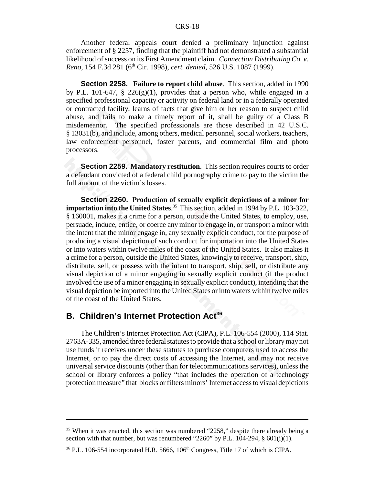Another federal appeals court denied a preliminary injunction against enforcement of § 2257, finding that the plaintiff had not demonstrated a substantial likelihood of success on its First Amendment claim. *Connection Distributing Co. v. Reno*, 154 F.3d 281 (6th Cir. 1998), *cert. denied*, 526 U.S. 1087 (1999).

**Section 2258. Failure to report child abuse**. This section, added in 1990 by P.L. 101-647, § 226(g)(1), provides that a person who, while engaged in a specified professional capacity or activity on federal land or in a federally operated or contracted facility, learns of facts that give him or her reason to suspect child abuse, and fails to make a timely report of it, shall be guilty of a Class B misdemeanor. The specified professionals are those described in 42 U.S.C. § 13031(b), and include, among others, medical personnel, social workers, teachers, law enforcement personnel, foster parents, and commercial film and photo processors.

**Section 2259. Mandatory restitution**. This section requires courts to order a defendant convicted of a federal child pornography crime to pay to the victim the full amount of the victim's losses.

**Section 2260. Production of sexually explicit depictions of a minor for importation into the United States**. 35 This section, added in 1994 by P.L. 103-322, § 160001, makes it a crime for a person, outside the United States, to employ, use, persuade, induce, entice, or coerce any minor to engage in, or transport a minor with the intent that the minor engage in, any sexually explicit conduct, for the purpose of producing a visual depiction of such conduct for importation into the United States or into waters within twelve miles of the coast of the United States. It also makes it a crime for a person, outside the United States, knowingly to receive, transport, ship, distribute, sell, or possess with the intent to transport, ship, sell, or distribute any visual depiction of a minor engaging in sexually explicit conduct (if the product involved the use of a minor engaging in sexually explicit conduct), intending that the visual depiction be imported into the United States or into waters within twelve miles of the coast of the United States.

#### **B. Children's Internet Protection Act<sup>36</sup>**

The Children's Internet Protection Act (CIPA), P.L. 106-554 (2000), 114 Stat. 2763A-335, amended three federal statutes to provide that a school or library may not use funds it receives under these statutes to purchase computers used to access the Internet, or to pay the direct costs of accessing the Internet, and may not receive universal service discounts (other than for telecommunications services), unless the school or library enforces a policy "that includes the operation of a technology protection measure" that blocks or filters minors' Internet access to visual depictions

<sup>&</sup>lt;sup>35</sup> When it was enacted, this section was numbered "2258," despite there already being a section with that number, but was renumbered "2260" by P.L.  $104-294$ ,  $\S$  601(i)(1).

 $36$  P.L. 106-554 incorporated H.R. 5666, 106<sup>th</sup> Congress, Title 17 of which is CIPA.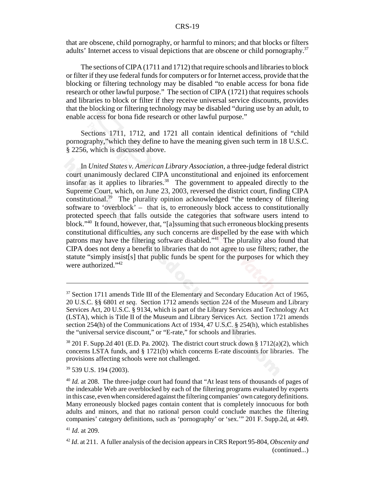#### CRS-19

that are obscene, child pornography, or harmful to minors; and that blocks or filters adults' Internet access to visual depictions that are obscene or child pornography.<sup>37</sup>

The sections of CIPA (1711 and 1712) that require schools and libraries to block or filter if they use federal funds for computers or for Internet access, provide that the blocking or filtering technology may be disabled "to enable access for bona fide research or other lawful purpose." The section of CIPA (1721) that requires schools and libraries to block or filter if they receive universal service discounts, provides that the blocking or filtering technology may be disabled "during use by an adult, to enable access for bona fide research or other lawful purpose."

Sections 1711, 1712, and 1721 all contain identical definitions of "child pornography,"which they define to have the meaning given such term in 18 U.S.C. § 2256, which is discussed above.

In *United States v. American Library Association*, a three-judge federal district court unanimously declared CIPA unconstitutional and enjoined its enforcement insofar as it applies to libraries.<sup>38</sup> The government to appealed directly to the Supreme Court, which, on June 23, 2003, reversed the district court, finding CIPA constitutional.39 The plurality opinion acknowledged "the tendency of filtering software to 'overblock' – that is, to erroneously block access to constitutionally protected speech that falls outside the categories that software users intend to block."40 It found, however, that, "[a]ssuming that such erroneous blocking presents constitutional difficulties, any such concerns are dispelled by the ease with which patrons may have the filtering software disabled."41 The plurality also found that CIPA does not deny a benefit to libraries that do not agree to use filters; rather, the statute "simply insist[s] that public funds be spent for the purposes for which they were authorized."<sup>42</sup>

<sup>&</sup>lt;sup>37</sup> Section 1711 amends Title III of the Elementary and Secondary Education Act of 1965, 20 U.S.C. §§ 6801 *et seq*. Section 1712 amends section 224 of the Museum and Library Services Act, 20 U.S.C. § 9134, which is part of the Library Services and Technology Act (LSTA), which is Title II of the Museum and Library Services Act. Section 1721 amends section 254(h) of the Communications Act of 1934, 47 U.S.C. § 254(h), which establishes the "universal service discount," or "E-rate," for schools and libraries.

 $38\,201$  F. Supp.2d 401 (E.D. Pa. 2002). The district court struck down § 1712(a)(2), which concerns LSTA funds, and § 1721(b) which concerns E-rate discounts for libraries. The provisions affecting schools were not challenged.

<sup>39 539</sup> U.S. 194 (2003).

<sup>&</sup>lt;sup>40</sup> *Id.* at 208. The three-judge court had found that "At least tens of thousands of pages of the indexable Web are overblocked by each of the filtering programs evaluated by experts in this case, even when considered against the filtering companies' own category definitions. Many erroneously blocked pages contain content that is completely innocuous for both adults and minors, and that no rational person could conclude matches the filtering companies' category definitions, such as 'pornography' or 'sex.'" 201 F. Supp.2d, at 449.

<sup>41</sup> *Id*. at 209.

<sup>42</sup> *Id*. at 211. A fuller analysis of the decision appears in CRS Report 95-804, *Obscenity and* (continued...)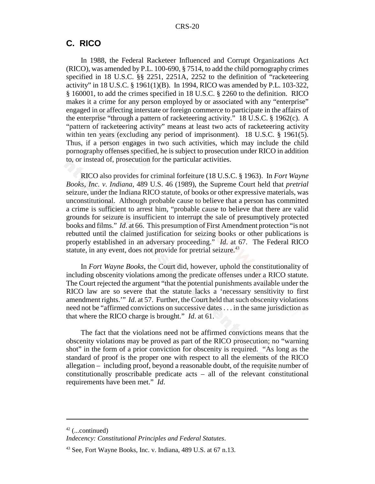#### **C. RICO**

In 1988, the Federal Racketeer Influenced and Corrupt Organizations Act (RICO), was amended by P.L. 100-690, § 7514, to add the child pornography crimes specified in 18 U.S.C. §§ 2251, 2251A, 2252 to the definition of "racketeering activity" in 18 U.S.C. § 1961(1)(B). In 1994, RICO was amended by P.L. 103-322, § 160001, to add the crimes specified in 18 U.S.C. § 2260 to the definition. RICO makes it a crime for any person employed by or associated with any "enterprise" engaged in or affecting interstate or foreign commerce to participate in the affairs of the enterprise "through a pattern of racketeering activity." 18 U.S.C. § 1962(c). A "pattern of racketeering activity" means at least two acts of racketeering activity within ten years (excluding any period of imprisonment). 18 U.S.C. § 1961(5). Thus, if a person engages in two such activities, which may include the child pornography offenses specified, he is subject to prosecution under RICO in addition to, or instead of, prosecution for the particular activities.

RICO also provides for criminal forfeiture (18 U.S.C. § 1963). In *Fort Wayne Books, Inc. v. Indiana*, 489 U.S. 46 (1989), the Supreme Court held that *pretrial* seizure, under the Indiana RICO statute, of books or other expressive materials, was unconstitutional. Although probable cause to believe that a person has committed a crime is sufficient to arrest him, "probable cause to believe that there are valid grounds for seizure is insufficient to interrupt the sale of presumptively protected books and films." *Id*. at 66. This presumption of First Amendment protection "is not rebutted until the claimed justification for seizing books or other publications is properly established in an adversary proceeding." *Id*. at 67. The Federal RICO statute, in any event, does not provide for pretrial seizure.<sup>43</sup>

In *Fort Wayne Books*, the Court did, however, uphold the constitutionality of including obscenity violations among the predicate offenses under a RICO statute. The Court rejected the argument "that the potential punishments available under the RICO law are so severe that the statute lacks a 'necessary sensitivity to first amendment rights.'" *Id*. at 57. Further, the Court held that such obscenity violations need not be "affirmed convictions on successive dates . . . in the same jurisdiction as that where the RICO charge is brought." *Id*. at 61.

The fact that the violations need not be affirmed convictions means that the obscenity violations may be proved as part of the RICO prosecution; no "warning shot" in the form of a prior conviction for obscenity is required. "As long as the standard of proof is the proper one with respect to all the elements of the RICO allegation – including proof, beyond a reasonable doubt, of the requisite number of constitutionally proscribable predicate acts – all of the relevant constitutional requirements have been met." *Id*.

 $42$  (...continued)

*Indecency: Constitutional Principles and Federal Statutes*.

 $43$  See, Fort Wayne Books, Inc. v. Indiana, 489 U.S. at 67 n.13.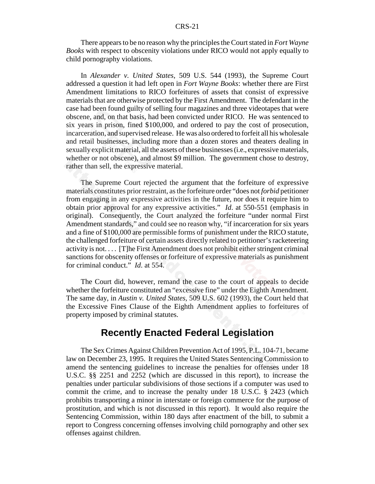There appears to be no reason why the principles the Court stated in *Fort Wayne Books* with respect to obscenity violations under RICO would not apply equally to child pornography violations.

In *Alexander v. United States*, 509 U.S. 544 (1993), the Supreme Court addressed a question it had left open in *Fort Wayne Books*: whether there are First Amendment limitations to RICO forfeitures of assets that consist of expressive materials that are otherwise protected by the First Amendment. The defendant in the case had been found guilty of selling four magazines and three videotapes that were obscene, and, on that basis, had been convicted under RICO. He was sentenced to six years in prison, fined \$100,000, and ordered to pay the cost of prosecution, incarceration, and supervised release. He was also ordered to forfeit all his wholesale and retail businesses, including more than a dozen stores and theaters dealing in sexually explicit material, all the assets of these businesses (i.e., expressive materials, whether or not obscene), and almost \$9 million. The government chose to destroy, rather than sell, the expressive material.

The Supreme Court rejected the argument that the forfeiture of expressive materials constitutes prior restraint, as the forfeiture order "does not *forbid* petitioner from engaging in any expressive activities in the future, nor does it require him to obtain prior approval for any expressive activities." *Id*. at 550-551 (emphasis in original). Consequently, the Court analyzed the forfeiture "under normal First Amendment standards," and could see no reason why, "if incarceration for six years and a fine of \$100,000 are permissible forms of punishment under the RICO statute, the challenged forfeiture of certain assets directly related to petitioner's racketeering activity is not. . . . [T]he First Amendment does not prohibit either stringent criminal sanctions for obscenity offenses or forfeiture of expressive materials as punishment for criminal conduct." *Id*. at 554.

The Court did, however, remand the case to the court of appeals to decide whether the forfeiture constituted an "excessive fine" under the Eighth Amendment. The same day, in *Austin v. United States*, 509 U.S. 602 (1993), the Court held that the Excessive Fines Clause of the Eighth Amendment applies to forfeitures of property imposed by criminal statutes.

#### **Recently Enacted Federal Legislation**

The Sex Crimes Against Children Prevention Act of 1995, P.L. 104-71, became law on December 23, 1995. It requires the United States Sentencing Commission to amend the sentencing guidelines to increase the penalties for offenses under 18 U.S.C. §§ 2251 and 2252 (which are discussed in this report), to increase the penalties under particular subdivisions of those sections if a computer was used to commit the crime, and to increase the penalty under 18 U.S.C. § 2423 (which prohibits transporting a minor in interstate or foreign commerce for the purpose of prostitution, and which is not discussed in this report). It would also require the Sentencing Commission, within 180 days after enactment of the bill, to submit a report to Congress concerning offenses involving child pornography and other sex offenses against children.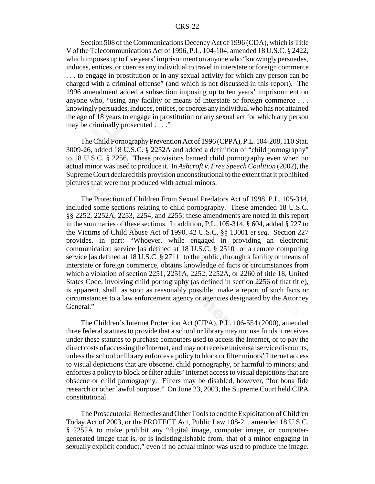Section 508 of the Communications Decency Act of 1996 (CDA), which is Title V of the Telecommunications Act of 1996, P.L. 104-104, amended 18 U.S.C. § 2422, which imposes up to five years' imprisonment on anyone who "knowingly persuades, induces, entices, or coerces any individual to travel in interstate or foreign commerce . . . to engage in prostitution or in any sexual activity for which any person can be charged with a criminal offense" (and which is not discussed in this report). The 1996 amendment added a subsection imposing up to ten years' imprisonment on anyone who, "using any facility or means of interstate or foreign commerce . . . knowingly persuades, induces, entices, or coerces any individual who has not attained the age of 18 years to engage in prostitution or any sexual act for which any person may be criminally prosecuted . . . ."

The Child Pornography Prevention Act of 1996 (CPPA), P.L. 104-208, 110 Stat. 3009-26, added 18 U.S.C. § 2252A and added a definition of "child pornography" to 18 U.S.C. § 2256. These provisions banned child pornography even when no actual minor was used to produce it. In *Ashcroft v. Free Speech Coalition* (2002), the Supreme Court declared this provision unconstitutional to the extent that it prohibited pictures that were not produced with actual minors.

The Protection of Children From Sexual Predators Act of 1998, P.L. 105-314, included some sections relating to child pornography. These amended 18 U.S.C. §§ 2252, 2252A, 2253, 2254, and 2255; these amendments are noted in this report in the summaries of these sections. In addition, P.L. 105-314, § 604, added § 227 to the Victims of Child Abuse Act of 1990, 42 U.S.C. §§ 13001 *et seq*. Section 227 provides, in part: "Whoever, while engaged in providing an electronic communication service [as defined at 18 U.S.C. § 2510] or a remote computing service [as defined at 18 U.S.C. § 2711] to the public, through a facility or means of interstate or foreign commerce, obtains knowledge of facts or circumstances from which a violation of section 2251, 2251A, 2252, 2252A, or 2260 of title 18, United States Code, involving child pornography (as defined in section 2256 of that title), is apparent, shall, as soon as reasonably possible, make a report of such facts or circumstances to a law enforcement agency or agencies designated by the Attorney General."

The Children's Internet Protection Act (CIPA), P.L. 106-554 (2000), amended three federal statutes to provide that a school or library may not use funds it receives under these statutes to purchase computers used to access the Internet, or to pay the direct costs of accessing the Internet, and may not receive universal service discounts, unless the school or library enforces a policy to block or filter minors' Internet access to visual depictions that are obscene, child pornography, or harmful to minors; and enforces a policy to block or filter adults' Internet access to visual depictions that are obscene or child pornography. Filters may be disabled, however, "for bona fide research or other lawful purpose." On June 23, 2003, the Supreme Court held CIPA constitutional.

The Prosecutorial Remedies and Other Tools to end the Exploitation of Children Today Act of 2003, or the PROTECT Act, Public Law 108-21, amended 18 U.S.C. § 2252A to make prohibit any "digital image, computer image, or computergenerated image that is, or is indistinguishable from, that of a minor engaging in sexually explicit conduct," even if no actual minor was used to produce the image.